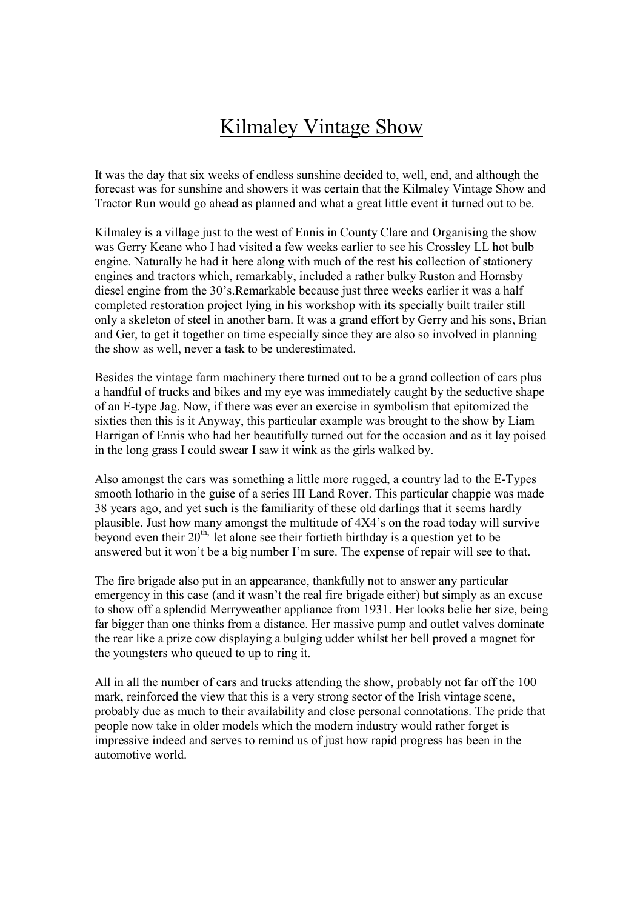## Kilmaley Vintage Show

It was the day that six weeks of endless sunshine decided to, well, end, and although the forecast was for sunshine and showers it was certain that the Kilmaley Vintage Show and Tractor Run would go ahead as planned and what a great little event it turned out to be.

Kilmaley is a village just to the west of Ennis in County Clare and Organising the show was Gerry Keane who I had visited a few weeks earlier to see his Crossley LL hot bulb engine. Naturally he had it here along with much of the rest his collection of stationery engines and tractors which, remarkably, included a rather bulky Ruston and Hornsby diesel engine from the 30's.Remarkable because just three weeks earlier it was a half completed restoration project lying in his workshop with its specially built trailer still only a skeleton of steel in another barn. It was a grand effort by Gerry and his sons, Brian and Ger, to get it together on time especially since they are also so involved in planning the show as well, never a task to be underestimated.

Besides the vintage farm machinery there turned out to be a grand collection of cars plus a handful of trucks and bikes and my eye was immediately caught by the seductive shape of an E-type Jag. Now, if there was ever an exercise in symbolism that epitomized the sixties then this is it Anyway, this particular example was brought to the show by Liam Harrigan of Ennis who had her beautifully turned out for the occasion and as it lay poised in the long grass I could swear I saw it wink as the girls walked by.

Also amongst the cars was something a little more rugged, a country lad to the E-Types smooth lothario in the guise of a series III Land Rover. This particular chappie was made 38 years ago, and yet such is the familiarity of these old darlings that it seems hardly plausible. Just how many amongst the multitude of 4X4's on the road today will survive beyond even their  $20<sup>th</sup>$ , let alone see their fortieth birthday is a question yet to be answered but it won't be a big number I'm sure. The expense of repair will see to that.

The fire brigade also put in an appearance, thankfully not to answer any particular emergency in this case (and it wasn't the real fire brigade either) but simply as an excuse to show off a splendid Merryweather appliance from 1931. Her looks belie her size, being far bigger than one thinks from a distance. Her massive pump and outlet valves dominate the rear like a prize cow displaying a bulging udder whilst her bell proved a magnet for the youngsters who queued to up to ring it.

All in all the number of cars and trucks attending the show, probably not far off the 100 mark, reinforced the view that this is a very strong sector of the Irish vintage scene, probably due as much to their availability and close personal connotations. The pride that people now take in older models which the modern industry would rather forget is impressive indeed and serves to remind us of just how rapid progress has been in the automotive world.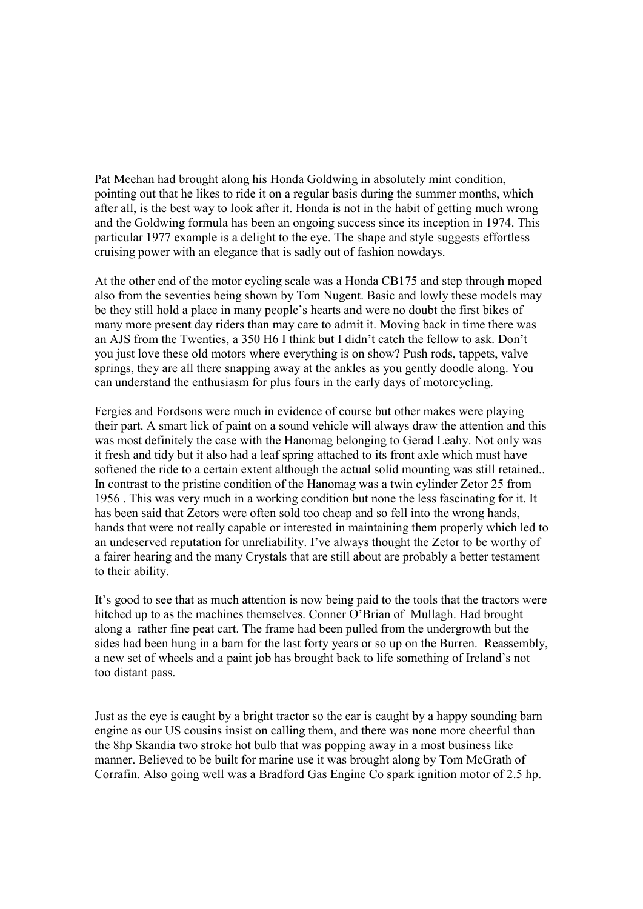Pat Meehan had brought along his Honda Goldwing in absolutely mint condition, pointing out that he likes to ride it on a regular basis during the summer months, which after all, is the best way to look after it. Honda is not in the habit of getting much wrong and the Goldwing formula has been an ongoing success since its inception in 1974. This particular 1977 example is a delight to the eye. The shape and style suggests effortless cruising power with an elegance that is sadly out of fashion nowdays.

At the other end of the motor cycling scale was a Honda CB175 and step through moped also from the seventies being shown by Tom Nugent. Basic and lowly these models may be they still hold a place in many people's hearts and were no doubt the first bikes of many more present day riders than may care to admit it. Moving back in time there was an AJS from the Twenties, a 350 H6 I think but I didn't catch the fellow to ask. Don't you just love these old motors where everything is on show? Push rods, tappets, valve springs, they are all there snapping away at the ankles as you gently doodle along. You can understand the enthusiasm for plus fours in the early days of motorcycling.

Fergies and Fordsons were much in evidence of course but other makes were playing their part. A smart lick of paint on a sound vehicle will always draw the attention and this was most definitely the case with the Hanomag belonging to Gerad Leahy. Not only was it fresh and tidy but it also had a leaf spring attached to its front axle which must have softened the ride to a certain extent although the actual solid mounting was still retained.. In contrast to the pristine condition of the Hanomag was a twin cylinder Zetor 25 from 1956 . This was very much in a working condition but none the less fascinating for it. It has been said that Zetors were often sold too cheap and so fell into the wrong hands, hands that were not really capable or interested in maintaining them properly which led to an undeserved reputation for unreliability. I've always thought the Zetor to be worthy of a fairer hearing and the many Crystals that are still about are probably a better testament to their ability.

It's good to see that as much attention is now being paid to the tools that the tractors were hitched up to as the machines themselves. Conner O'Brian of Mullagh. Had brought along a rather fine peat cart. The frame had been pulled from the undergrowth but the sides had been hung in a barn for the last forty years or so up on the Burren. Reassembly, a new set of wheels and a paint job has brought back to life something of Ireland's not too distant pass.

Just as the eye is caught by a bright tractor so the ear is caught by a happy sounding barn engine as our US cousins insist on calling them, and there was none more cheerful than the 8hp Skandia two stroke hot bulb that was popping away in a most business like manner. Believed to be built for marine use it was brought along by Tom McGrath of Corrafin. Also going well was a Bradford Gas Engine Co spark ignition motor of 2.5 hp.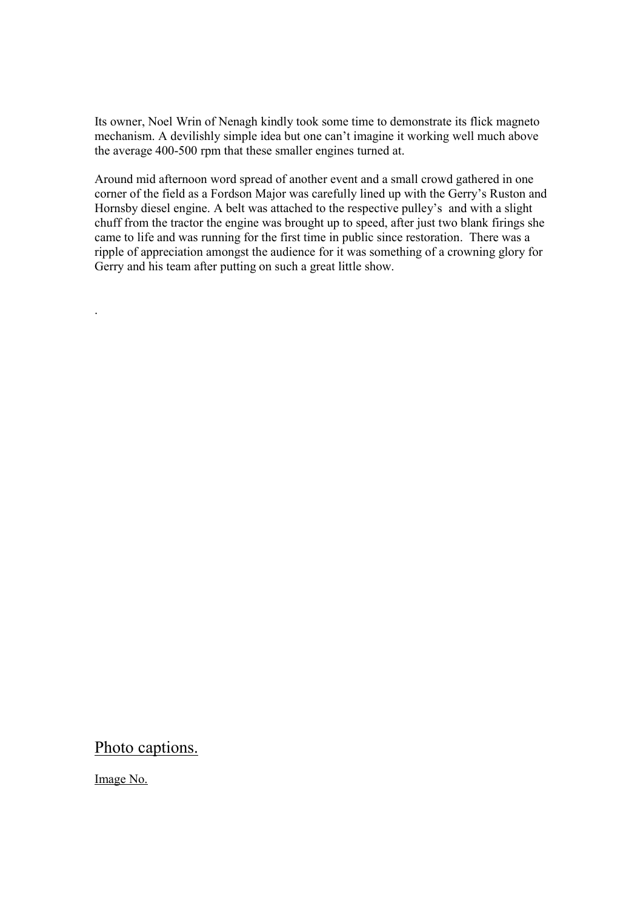Its owner, Noel Wrin of Nenagh kindly took some time to demonstrate its flick magneto mechanism. A devilishly simple idea but one can't imagine it working well much above the average 400-500 rpm that these smaller engines turned at.

Around mid afternoon word spread of another event and a small crowd gathered in one corner of the field as a Fordson Major was carefully lined up with the Gerry's Ruston and Hornsby diesel engine. A belt was attached to the respective pulley's and with a slight chuff from the tractor the engine was brought up to speed, after just two blank firings she came to life and was running for the first time in public since restoration. There was a ripple of appreciation amongst the audience for it was something of a crowning glory for Gerry and his team after putting on such a great little show.

## Photo captions.

Image No.

.